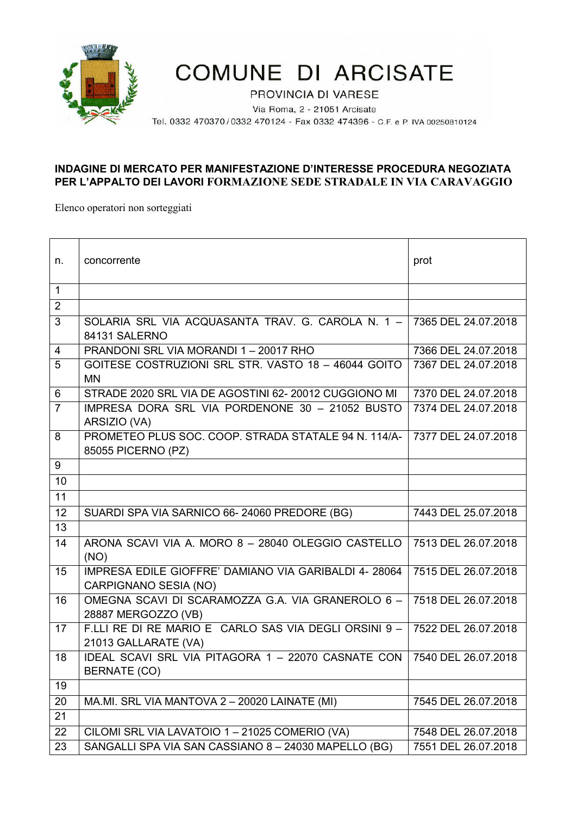

## **COMUNE DI ARCISATE**

PROVINCIA DI VARESE

Via Roma, 2 - 21051 Arcisate

Tel. 0332 470370/0332 470124 - Fax 0332 474396 - C.F. e P. IVA 00250810124

## **INDAGINE DI MERCATO PER MANIFESTAZIONE D'INTERESSE PROCEDURA NEGOZIATA PER L'APPALTO DEI LAVORI FORMAZIONE SEDE STRADALE IN VIA CARAVAGGIO**

Elenco operatori non sorteggiati

| n.             | concorrente                                                                                       | prot                |
|----------------|---------------------------------------------------------------------------------------------------|---------------------|
| $\mathbf{1}$   |                                                                                                   |                     |
| $\overline{2}$ |                                                                                                   |                     |
| 3              | SOLARIA SRL VIA ACQUASANTA TRAV. G. CAROLA N. $1 - 7365$ DEL 24.07.2018<br>84131 SALERNO          |                     |
| $\overline{4}$ | PRANDONI SRL VIA MORANDI 1 - 20017 RHO                                                            | 7366 DEL 24.07.2018 |
| 5              | GOITESE COSTRUZIONI SRL STR. VASTO 18 - 46044 GOITO                                               | 7367 DEL 24.07.2018 |
|                | <b>MN</b>                                                                                         |                     |
| 6              | STRADE 2020 SRL VIA DE AGOSTINI 62-20012 CUGGIONO MI                                              | 7370 DEL 24.07.2018 |
| $\overline{7}$ | IMPRESA DORA SRL VIA PORDENONE 30 - 21052 BUSTO<br>ARSIZIO (VA)                                   | 7374 DEL 24.07.2018 |
| 8              | PROMETEO PLUS SOC. COOP. STRADA STATALE 94 N. 114/A- 7377 DEL 24.07.2018<br>85055 PICERNO (PZ)    |                     |
| 9              |                                                                                                   |                     |
| 10             |                                                                                                   |                     |
| 11             |                                                                                                   |                     |
| 12             | SUARDI SPA VIA SARNICO 66-24060 PREDORE (BG)                                                      | 7443 DEL 25.07.2018 |
| 13             |                                                                                                   |                     |
| 14             | ARONA SCAVI VIA A. MORO 8 - 28040 OLEGGIO CASTELLO<br>(NO)                                        | 7513 DEL 26.07.2018 |
| 15             | IMPRESA EDILE GIOFFRE' DAMIANO VIA GARIBALDI 4-28064<br>CARPIGNANO SESIA (NO)                     | 7515 DEL 26.07.2018 |
| 16             | OMEGNA SCAVI DI SCARAMOZZA G.A. VIA GRANEROLO 6 -<br>28887 MERGOZZO (VB)                          | 7518 DEL 26.07.2018 |
| 17             | F.LLI RE DI RE MARIO E CARLO SAS VIA DEGLI ORSINI 9 - 7522 DEL 26.07.2018<br>21013 GALLARATE (VA) |                     |
| 18             | IDEAL SCAVI SRL VIA PITAGORA 1 - 22070 CASNATE CON   7540 DEL 26.07.2018<br>BERNATE (CO)          |                     |
| 19             |                                                                                                   |                     |
| 20             | MA.MI. SRL VIA MANTOVA 2 - 20020 LAINATE (MI)                                                     | 7545 DEL 26.07.2018 |
| 21             |                                                                                                   |                     |
| 22             | CILOMI SRL VIA LAVATOIO 1-21025 COMERIO (VA)                                                      | 7548 DEL 26.07.2018 |
| 23             | SANGALLI SPA VIA SAN CASSIANO 8-24030 MAPELLO (BG)                                                | 7551 DEL 26.07.2018 |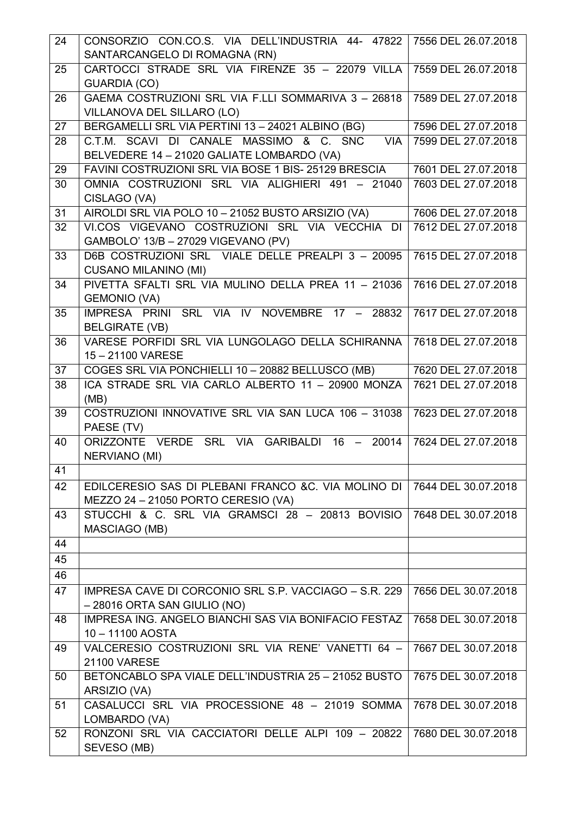|                 | CONSORZIO CON.CO.S. VIA DELL'INDUSTRIA 44- 47822                 | 7556 DEL 26.07.2018 |
|-----------------|------------------------------------------------------------------|---------------------|
|                 | SANTARCANGELO DI ROMAGNA (RN)                                    |                     |
| 25              | CARTOCCI STRADE SRL VIA FIRENZE 35 - 22079 VILLA                 | 7559 DEL 26.07.2018 |
|                 | <b>GUARDIA (CO)</b>                                              |                     |
| 26              | GAEMA COSTRUZIONI SRL VIA F.LLI SOMMARIVA 3 - 26818              | 7589 DEL 27.07.2018 |
|                 | VILLANOVA DEL SILLARO (LO)                                       |                     |
| 27              | BERGAMELLI SRL VIA PERTINI 13 - 24021 ALBINO (BG)                | 7596 DEL 27.07.2018 |
| 28              | C.T.M. SCAVI DI CANALE MASSIMO & C. SNC<br><b>VIA</b>            | 7599 DEL 27.07.2018 |
|                 | BELVEDERE 14 - 21020 GALIATE LOMBARDO (VA)                       |                     |
| 29              | FAVINI COSTRUZIONI SRL VIA BOSE 1 BIS-25129 BRESCIA              | 7601 DEL 27.07.2018 |
| 30              | OMNIA COSTRUZIONI SRL VIA ALIGHIERI 491 - 21040                  | 7603 DEL 27.07.2018 |
|                 | CISLAGO (VA)                                                     |                     |
| 31              | AIROLDI SRL VIA POLO 10 - 21052 BUSTO ARSIZIO (VA)               | 7606 DEL 27.07.2018 |
| 32              | VI.COS VIGEVANO COSTRUZIONI SRL VIA VECCHIA DI                   | 7612 DEL 27.07.2018 |
|                 | GAMBOLO' 13/B - 27029 VIGEVANO (PV)                              |                     |
| 33              | D6B COSTRUZIONI SRL VIALE DELLE PREALPI 3 - 20095                | 7615 DEL 27.07.2018 |
|                 | <b>CUSANO MILANINO (MI)</b>                                      |                     |
| 34              | PIVETTA SFALTI SRL VIA MULINO DELLA PREA 11 - 21036              | 7616 DEL 27.07.2018 |
|                 | <b>GEMONIO (VA)</b>                                              |                     |
| 35              | IMPRESA PRINI SRL VIA IV NOVEMBRE 17 -<br>28832                  | 7617 DEL 27.07.2018 |
|                 | <b>BELGIRATE (VB)</b>                                            |                     |
| 36              | VARESE PORFIDI SRL VIA LUNGOLAGO DELLA SCHIRANNA                 | 7618 DEL 27.07.2018 |
|                 | 15-21100 VARESE                                                  |                     |
| 37              | COGES SRL VIA PONCHIELLI 10 - 20882 BELLUSCO (MB)                | 7620 DEL 27.07.2018 |
| 38              | ICA STRADE SRL VIA CARLO ALBERTO 11 - 20900 MONZA                | 7621 DEL 27.07.2018 |
|                 | (MB)                                                             |                     |
| 39              | COSTRUZIONI INNOVATIVE SRL VIA SAN LUCA 106 - 31038              | 7623 DEL 27.07.2018 |
|                 |                                                                  |                     |
|                 | PAESE (TV)                                                       |                     |
| 40              | ORIZZONTE VERDE SRL VIA GARIBALDI 16 - 20014                     | 7624 DEL 27.07.2018 |
|                 | NERVIANO (MI)                                                    |                     |
| $\overline{41}$ |                                                                  |                     |
| 42              | EDILCERESIO SAS DI PLEBANI FRANCO & C. VIA MOLINO DI             | 7644 DEL 30.07.2018 |
|                 | MEZZO 24 - 21050 PORTO CERESIO (VA)                              |                     |
| 43              | STUCCHI & C. SRL VIA GRAMSCI 28 - 20813 BOVISIO                  | 7648 DEL 30.07.2018 |
|                 | MASCIAGO (MB)                                                    |                     |
| 44              |                                                                  |                     |
| 45              |                                                                  |                     |
| 46              |                                                                  |                     |
| 47              | IMPRESA CAVE DI CORCONIO SRL S.P. VACCIAGO - S.R. 229            | 7656 DEL 30.07.2018 |
|                 | $-28016$ ORTA SAN GIULIO (NO)                                    |                     |
| 48              | IMPRESA ING. ANGELO BIANCHI SAS VIA BONIFACIO FESTAZ             | 7658 DEL 30.07.2018 |
|                 | 10-11100 AOSTA                                                   |                     |
| 49              | VALCERESIO COSTRUZIONI SRL VIA RENE' VANETTI 64 -                | 7667 DEL 30.07.2018 |
|                 | <b>21100 VARESE</b>                                              |                     |
| 50              | BETONCABLO SPA VIALE DELL'INDUSTRIA 25 - 21052 BUSTO             | 7675 DEL 30.07.2018 |
|                 | ARSIZIO (VA)                                                     |                     |
| 51              | CASALUCCI SRL VIA PROCESSIONE 48 - 21019 SOMMA                   | 7678 DEL 30.07.2018 |
|                 | LOMBARDO (VA)                                                    |                     |
| 52              | RONZONI SRL VIA CACCIATORI DELLE ALPI 109 - 20822<br>SEVESO (MB) | 7680 DEL 30.07.2018 |